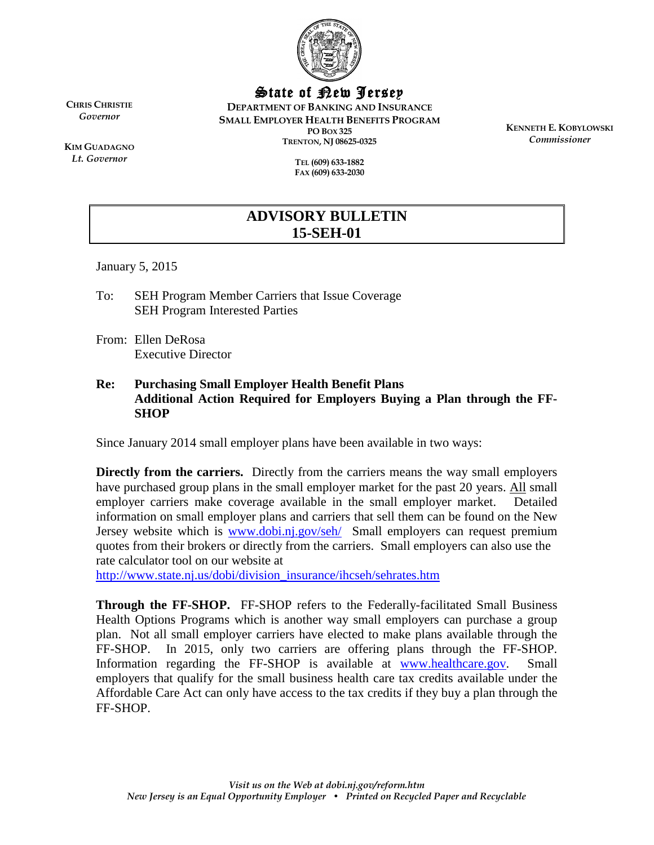

State of New Jersey

**DEPARTMENT OF BANKING AND INSURANCE SMALL EMPLOYER HEALTH BENEFITS PROGRAM PO BOX 325 TRENTON, NJ 08625-0325**

> **TEL (609) 633-1882 FAX (609) 633-2030**

**KENNETH E. KOBYLOWSKI** *Commissioner*

**KIM GUADAGNO** *Lt. Governor*

**CHRIS CHRISTIE** *Governor*

## **ADVISORY BULLETIN 15-SEH-01**

January 5, 2015

- To: SEH Program Member Carriers that Issue Coverage SEH Program Interested Parties
- From: Ellen DeRosa Executive Director

## **Re: Purchasing Small Employer Health Benefit Plans Additional Action Required for Employers Buying a Plan through the FF-SHOP**

Since January 2014 small employer plans have been available in two ways:

**Directly from the carriers.** Directly from the carriers means the way small employers have purchased group plans in the small employer market for the past 20 years. All small employer carriers make coverage available in the small employer market. Detailed information on small employer plans and carriers that sell them can be found on the New Jersey website which is [www.dobi.nj.gov/seh/](http://www.dobi.nj.gov/seh/) Small employers can request premium quotes from their brokers or directly from the carriers. Small employers can also use the rate calculator tool on our website at

[http://www.state.nj.us/dobi/division\\_insurance/ihcseh/sehrates.htm](http://www.state.nj.us/dobi/division_insurance/ihcseh/sehrates.htm)

**Through the FF-SHOP.** FF-SHOP refers to the Federally-facilitated Small Business Health Options Programs which is another way small employers can purchase a group plan. Not all small employer carriers have elected to make plans available through the FF-SHOP. In 2015, only two carriers are offering plans through the FF-SHOP. Information regarding the FF-SHOP is available at [www.healthcare.gov.](http://www.healthcare.gov/) Small employers that qualify for the small business health care tax credits available under the Affordable Care Act can only have access to the tax credits if they buy a plan through the FF-SHOP.